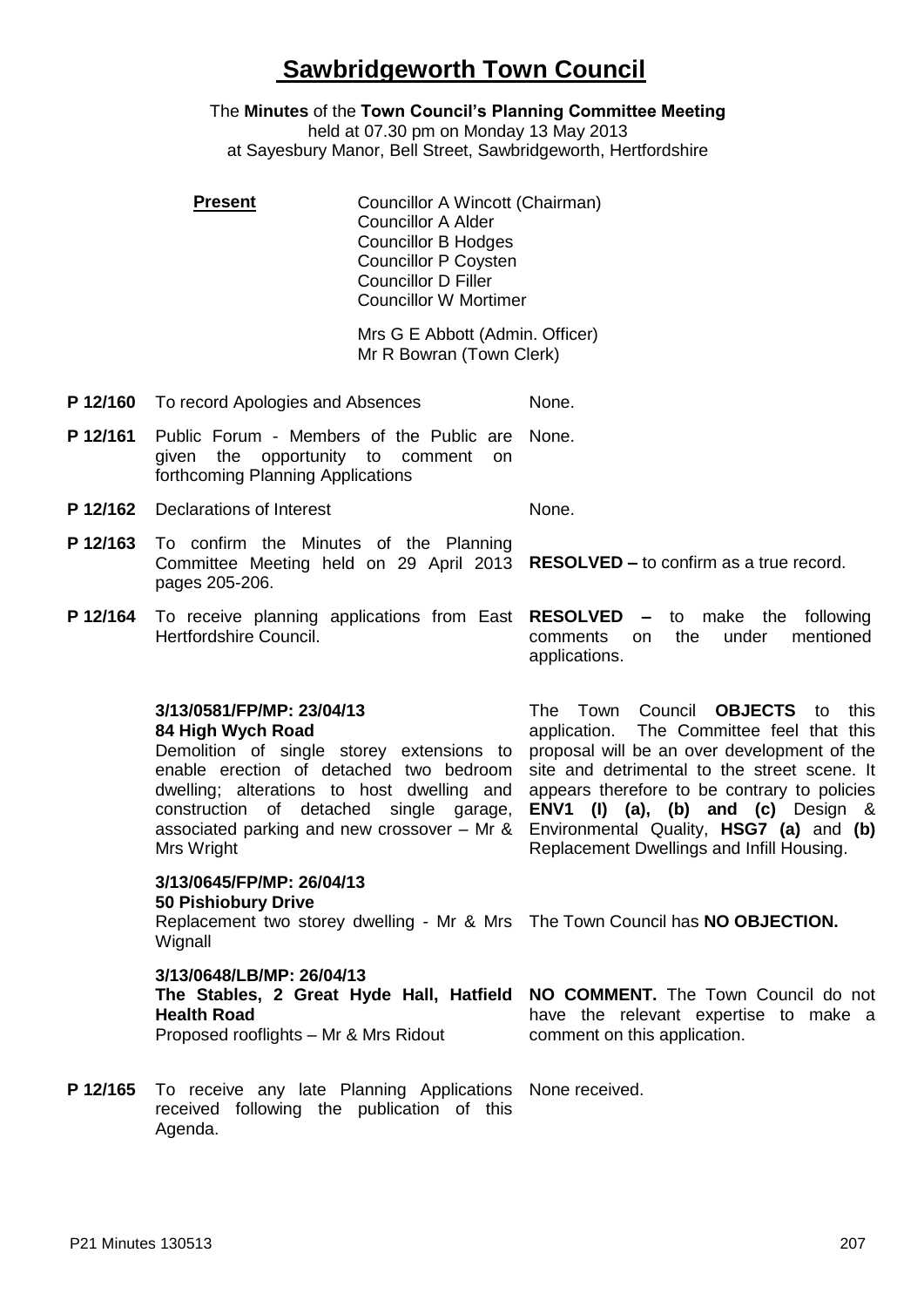## **Sawbridgeworth Town Council**

The **Minutes** of the **Town Council's Planning Committee Meeting** held at 07.30 pm on Monday 13 May 2013 at Sayesbury Manor, Bell Street, Sawbridgeworth, Hertfordshire

**Present Councillor A Wincott (Chairman)** Councillor A Alder Councillor B Hodges Councillor P Coysten Councillor D Filler Councillor W Mortimer

Mrs G E Abbott (Admin. Officer) Mr R Bowran (Town Clerk)

- **P 12/160** To record Apologies and Absences None.
- **P 12/161** Public Forum Members of the Public are given the opportunity to comment on forthcoming Planning Applications None.
- **P 12/162** Declarations of Interest None.
- **P 12/163** To confirm the Minutes of the Planning Committee Meeting held on 29 April 2013 **RESOLVED –** to confirm as a true record. pages 205-206.
- **P 12/164** To receive planning applications from East **RESOLVED –** to make the following Hertfordshire Council. comments on the under mentioned

**3/13/0581/FP/MP: 23/04/13 84 High Wych Road**

Demolition of single storey extensions to enable erection of detached two bedroom dwelling; alterations to host dwelling and construction of detached single garage, associated parking and new crossover – Mr & Environmental Quality, **HSG7 (a)** and **(b)** Mrs Wright

**3/13/0645/FP/MP: 26/04/13**

## **50 Pishiobury Drive**

Replacement two storey dwelling - Mr & Mrs The Town Council has **NO OBJECTION. Wignall** 

## **3/13/0648/LB/MP: 26/04/13**

| The Stables, 2 Great Hyde Hall, Hatfield NO COMMENT. The Town Council do not |                                       |
|------------------------------------------------------------------------------|---------------------------------------|
| <b>Health Road</b>                                                           | have the relevant expertise to make a |
| Proposed rooflights - Mr & Mrs Ridout                                        | comment on this application.          |

applications.

P 12/165 To receive any late Planning Applications None received. received following the publication of this Agenda.

The Town Council **OBJECTS** to this application. The Committee feel that this proposal will be an over development of the site and detrimental to the street scene. It appears therefore to be contrary to policies **ENV1 (I) (a), (b) and (c)** Design & Replacement Dwellings and Infill Housing.